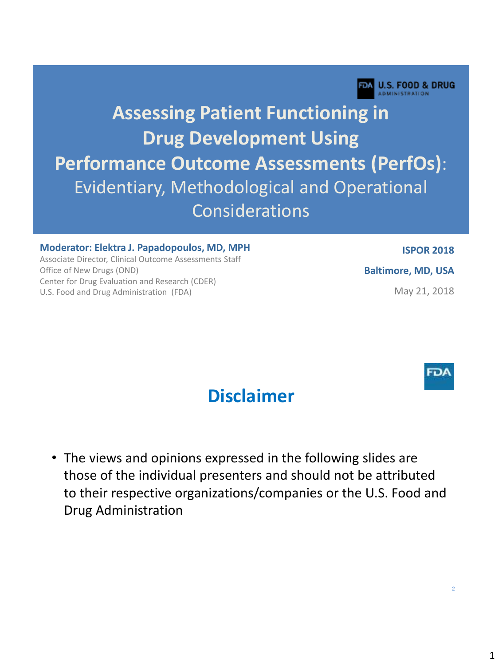

# **Assessing Patient Functioning in Drug Development Using Performance Outcome Assessments (PerfOs)**: Evidentiary, Methodological and Operational Considerations

#### **Moderator: Elektra J. Papadopoulos, MD, MPH**

Associate Director, Clinical Outcome Assessments Staff Office of New Drugs (OND) Center for Drug Evaluation and Research (CDER) U.S. Food and Drug Administration (FDA)

**ISPOR 2018**

**Baltimore, MD, USA**

May 21, 2018



#### **Disclaimer**

• The views and opinions expressed in the following slides are those of the individual presenters and should not be attributed to their respective organizations/companies or the U.S. Food and Drug Administration

 $\overline{2}$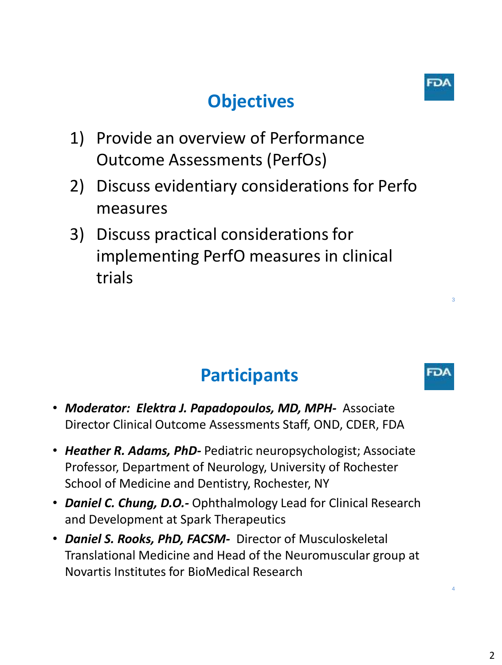# **Objectives**



3

FD/

- 1) Provide an overview of Performance Outcome Assessments (PerfOs)
- 2) Discuss evidentiary considerations for Perfo measures
- 3) Discuss practical considerations for implementing PerfO measures in clinical trials

# **Participants**

- *Moderator: Elektra J. Papadopoulos, MD, MPH-* Associate Director Clinical Outcome Assessments Staff, OND, CDER, FDA
- *Heather R. Adams, PhD-* Pediatric neuropsychologist; Associate Professor, Department of Neurology, University of Rochester School of Medicine and Dentistry, Rochester, NY
- *Daniel C. Chung, D.O.-* Ophthalmology Lead for Clinical Research and Development at Spark Therapeutics
- *Daniel S. Rooks, PhD, FACSM-* Director of Musculoskeletal Translational Medicine and Head of the Neuromuscular group at Novartis Institutes for BioMedical Research

4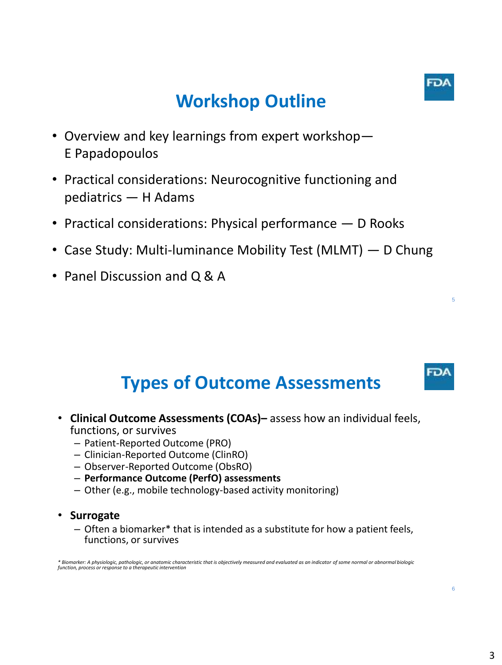

5

FDA

## **Workshop Outline**

- Overview and key learnings from expert workshop— E Papadopoulos
- Practical considerations: Neurocognitive functioning and pediatrics — H Adams
- Practical considerations: Physical performance D Rooks
- Case Study: Multi-luminance Mobility Test (MLMT) D Chung
- Panel Discussion and Q & A

## **Types of Outcome Assessments**

- **Clinical Outcome Assessments (COAs)–** assess how an individual feels, functions, or survives
	- Patient-Reported Outcome (PRO)
	- Clinician-Reported Outcome (ClinRO)
	- Observer-Reported Outcome (ObsRO)
	- **Performance Outcome (PerfO) assessments**
	- Other (e.g., mobile technology-based activity monitoring)

#### • **Surrogate**

– Often a biomarker\* that is intended as a substitute for how a patient feels, functions, or survives

\* Biomarker: A physiologic, pathologic, or anatomic characteristic that is objectively measured and evaluated as an indicator of some normal or abnormal biologic<br>function, process or response to a therapeutic intervention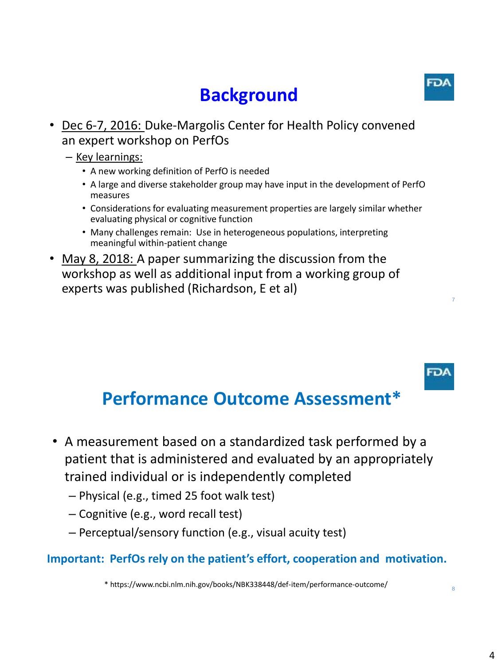## **Background**

• Dec 6-7, 2016: Duke-Margolis Center for Health Policy convened an expert workshop on PerfOs

#### – Key learnings:

- A new working definition of PerfO is needed
- A large and diverse stakeholder group may have input in the development of PerfO measures
- Considerations for evaluating measurement properties are largely similar whether evaluating physical or cognitive function
- Many challenges remain: Use in heterogeneous populations, interpreting meaningful within-patient change
- May 8, 2018: A paper summarizing the discussion from the workshop as well as additional input from a working group of experts was published (Richardson, E et al)

## **Performance Outcome Assessment\***

- A measurement based on a standardized task performed by a patient that is administered and evaluated by an appropriately trained individual or is independently completed
	- Physical (e.g., timed 25 foot walk test)
	- Cognitive (e.g., word recall test)
	- Perceptual/sensory function (e.g., visual acuity test)

#### **Important: PerfOs rely on the patient's effort, cooperation and motivation.**

\* https://www.ncbi.nlm.nih.gov/books/NBK338448/def-item/performance-outcome/

8

7

FD/

**FDA**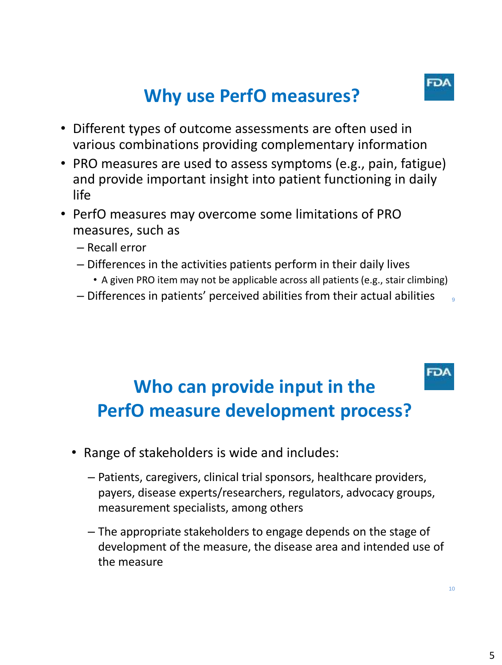**FDA** 

9

FD/

## **Why use PerfO measures?**

- Different types of outcome assessments are often used in various combinations providing complementary information
- PRO measures are used to assess symptoms (e.g., pain, fatigue) and provide important insight into patient functioning in daily life
- PerfO measures may overcome some limitations of PRO measures, such as
	- Recall error
	- Differences in the activities patients perform in their daily lives
		- A given PRO item may not be applicable across all patients (e.g., stair climbing)
	- Differences in patients' perceived abilities from their actual abilities

## **Who can provide input in the PerfO measure development process?**

- Range of stakeholders is wide and includes:
	- Patients, caregivers, clinical trial sponsors, healthcare providers, payers, disease experts/researchers, regulators, advocacy groups, measurement specialists, among others
	- The appropriate stakeholders to engage depends on the stage of development of the measure, the disease area and intended use of the measure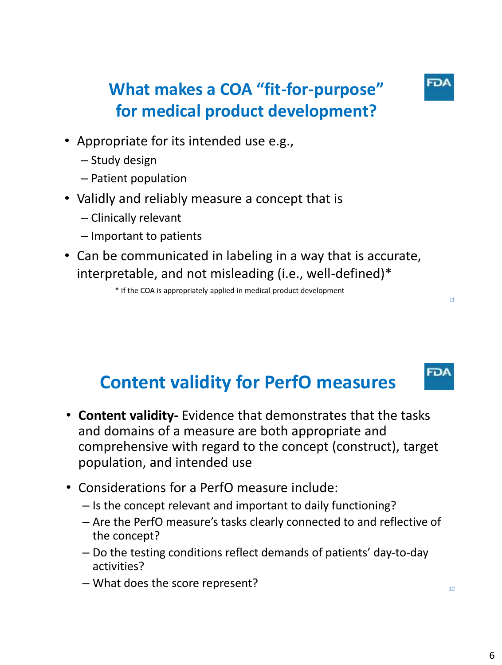

11

FDA

### **What makes a COA "fit-for-purpose" for medical product development?**

- Appropriate for its intended use e.g.,
	- Study design
	- Patient population
- Validly and reliably measure a concept that is
	- Clinically relevant
	- Important to patients
- Can be communicated in labeling in a way that is accurate, interpretable, and not misleading (i.e., well-defined)\*

\* If the COA is appropriately applied in medical product development

### **Content validity for PerfO measures**

- **Content validity-** Evidence that demonstrates that the tasks and domains of a measure are both appropriate and comprehensive with regard to the concept (construct), target population, and intended use
- Considerations for a PerfO measure include:
	- Is the concept relevant and important to daily functioning?
	- Are the PerfO measure's tasks clearly connected to and reflective of the concept?
	- Do the testing conditions reflect demands of patients' day-to-day activities?
	- What does the score represent?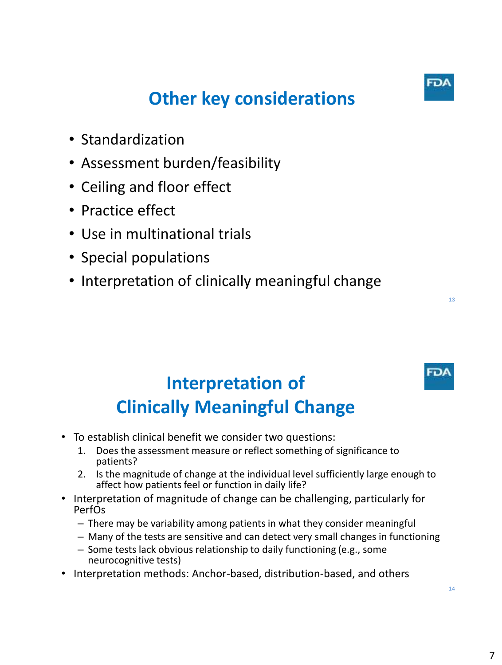## **Other key considerations**

- Standardization
- Assessment burden/feasibility
- Ceiling and floor effect
- Practice effect
- Use in multinational trials
- Special populations
- Interpretation of clinically meaningful change

## **Interpretation of Clinically Meaningful Change**

- To establish clinical benefit we consider two questions:
	- 1. Does the assessment measure or reflect something of significance to patients?
	- 2. Is the magnitude of change at the individual level sufficiently large enough to affect how patients feel or function in daily life?
- Interpretation of magnitude of change can be challenging, particularly for PerfOs
	- There may be variability among patients in what they consider meaningful
	- Many of the tests are sensitive and can detect very small changes in functioning
	- Some tests lack obvious relationship to daily functioning (e.g., some neurocognitive tests)
- Interpretation methods: Anchor-based, distribution-based, and others



FD/

13